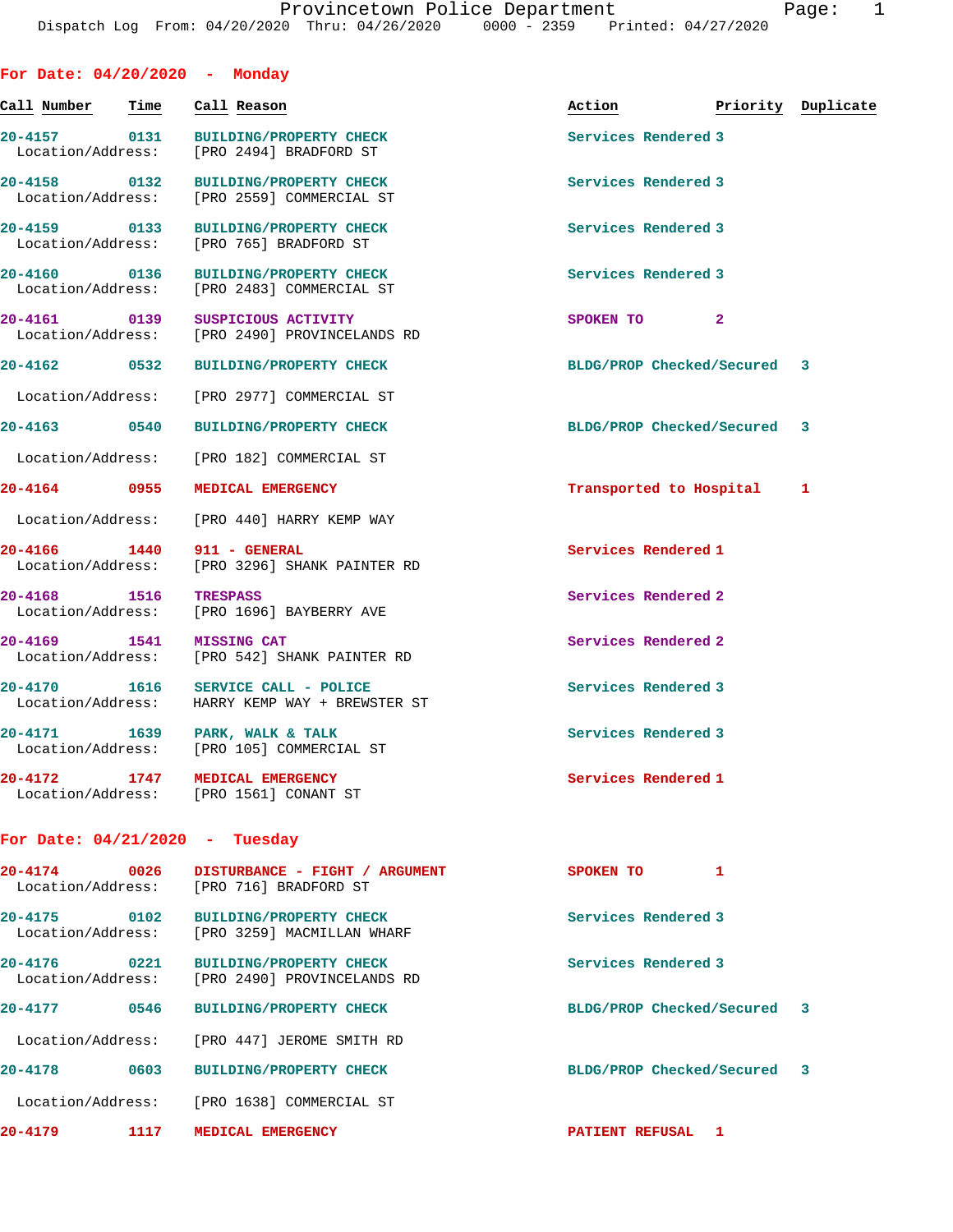| For Date: 04/20/2020 - Monday     |                   |                 |                                                                                |                             |                    |   |
|-----------------------------------|-------------------|-----------------|--------------------------------------------------------------------------------|-----------------------------|--------------------|---|
| Call Number                       | Time              |                 | Call Reason                                                                    | Action                      | Priority Duplicate |   |
| 20-4157 0131<br>Location/Address: |                   |                 | <b>BUILDING/PROPERTY CHECK</b><br>[PRO 2494] BRADFORD ST                       | Services Rendered 3         |                    |   |
| 20-4158 0132                      |                   |                 | <b>BUILDING/PROPERTY CHECK</b><br>Location/Address: [PRO 2559] COMMERCIAL ST   | Services Rendered 3         |                    |   |
| 20-4159 0133<br>Location/Address: |                   |                 | <b>BUILDING/PROPERTY CHECK</b><br>[PRO 765] BRADFORD ST                        | Services Rendered 3         |                    |   |
| 20-4160 0136                      |                   |                 | <b>BUILDING/PROPERTY CHECK</b><br>Location/Address: [PRO 2483] COMMERCIAL ST   | Services Rendered 3         |                    |   |
| 20-4161 0139                      |                   |                 | SUSPICIOUS ACTIVITY<br>Location/Address: [PRO 2490] PROVINCELANDS RD           | SPOKEN TO 2                 |                    |   |
| 20-4162 0532                      |                   |                 | <b>BUILDING/PROPERTY CHECK</b>                                                 | BLDG/PROP Checked/Secured 3 |                    |   |
| Location/Address:                 |                   |                 | [PRO 2977] COMMERCIAL ST                                                       |                             |                    |   |
| 20-4163 0540                      |                   |                 | <b>BUILDING/PROPERTY CHECK</b>                                                 | BLDG/PROP Checked/Secured 3 |                    |   |
| Location/Address:                 |                   |                 | [PRO 182] COMMERCIAL ST                                                        |                             |                    |   |
| 20-4164 0955                      |                   |                 | MEDICAL EMERGENCY                                                              | Transported to Hospital     |                    | 1 |
|                                   |                   |                 | Location/Address: [PRO 440] HARRY KEMP WAY                                     |                             |                    |   |
| 20-4166 1440                      |                   |                 | 911 - GENERAL<br>Location/Address: [PRO 3296] SHANK PAINTER RD                 | Services Rendered 1         |                    |   |
| 20-4168 1516                      |                   | <b>TRESPASS</b> | Location/Address: [PRO 1696] BAYBERRY AVE                                      | Services Rendered 2         |                    |   |
| 20-4169 1541                      |                   |                 | <b>MISSING CAT</b><br>Location/Address: [PRO 542] SHANK PAINTER RD             | Services Rendered 2         |                    |   |
| 20-4170 1616<br>Location/Address: |                   |                 | SERVICE CALL - POLICE<br>HARRY KEMP WAY + BREWSTER ST                          | Services Rendered 3         |                    |   |
| 20-4171 1639 PARK, WALK & TALK    |                   |                 | Location/Address: [PRO 105] COMMERCIAL ST                                      | Services Rendered 3         |                    |   |
| 20-4172                           |                   |                 | 1747 MEDICAL EMERGENCY<br>Location/Address: [PRO 1561] CONANT ST               | Services Rendered 1         |                    |   |
| For Date: $04/21/2020$ - Tuesday  |                   |                 |                                                                                |                             |                    |   |
| 20-4174<br>Location/Address:      | 0026              |                 | DISTURBANCE - FIGHT / ARGUMENT<br>[PRO 716] BRADFORD ST                        | SPOKEN TO                   | 1                  |   |
| 20-4175 0102                      |                   |                 | <b>BUILDING/PROPERTY CHECK</b><br>Location/Address: [PRO 3259] MACMILLAN WHARF | Services Rendered 3         |                    |   |
| 20-4176<br>Location/Address:      | $\overline{0221}$ |                 | <b>BUILDING/PROPERTY CHECK</b><br>[PRO 2490] PROVINCELANDS RD                  | Services Rendered 3         |                    |   |
| 20-4177                           | 0546              |                 | <b>BUILDING/PROPERTY CHECK</b>                                                 | BLDG/PROP Checked/Secured 3 |                    |   |
| Location/Address:                 |                   |                 | [PRO 447] JEROME SMITH RD                                                      |                             |                    |   |
| 20-4178                           | 0603              |                 | <b>BUILDING/PROPERTY CHECK</b>                                                 | BLDG/PROP Checked/Secured 3 |                    |   |
|                                   |                   |                 | Location/Address: [PRO 1638] COMMERCIAL ST                                     |                             |                    |   |
| 20-4179                           | 1117              |                 | MEDICAL EMERGENCY                                                              | <b>PATIENT REFUSAL 1</b>    |                    |   |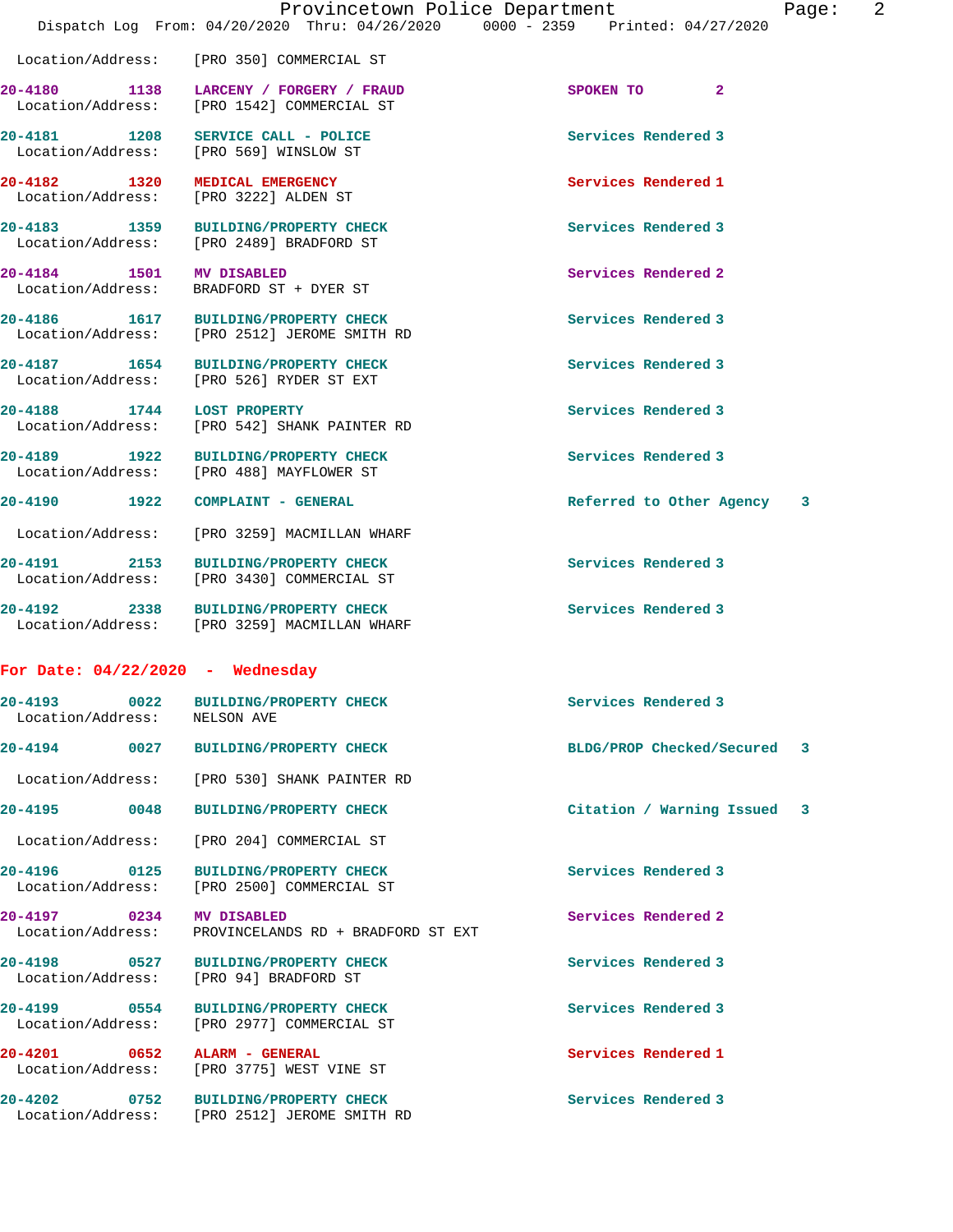|                                    | Provincetown Police Department<br>Dispatch Log From: 04/20/2020 Thru: 04/26/2020 0000 - 2359 Printed: 04/27/2020 | Page:                         | 2 |
|------------------------------------|------------------------------------------------------------------------------------------------------------------|-------------------------------|---|
|                                    | Location/Address: [PRO 350] COMMERCIAL ST                                                                        |                               |   |
|                                    | 20-4180 1138 LARCENY / FORGERY / FRAUD<br>Location/Address: [PRO 1542] COMMERCIAL ST                             | SPOKEN TO 2                   |   |
|                                    | 20-4181 1208 SERVICE CALL - POLICE<br>Location/Address: [PRO 569] WINSLOW ST                                     | Services Rendered 3           |   |
| 20-4182 1320                       | <b>MEDICAL EMERGENCY</b><br>Location/Address: [PRO 3222] ALDEN ST                                                | Services Rendered 1           |   |
|                                    | 20-4183 1359 BUILDING/PROPERTY CHECK<br>Location/Address: [PRO 2489] BRADFORD ST                                 | Services Rendered 3           |   |
| 20-4184 1501 MV DISABLED           | Location/Address: BRADFORD ST + DYER ST                                                                          | Services Rendered 2           |   |
| Location/Address:                  | 20-4186 1617 BUILDING/PROPERTY CHECK<br>[PRO 2512] JEROME SMITH RD                                               | Services Rendered 3           |   |
| 20-4187 1654                       | <b>BUILDING/PROPERTY CHECK</b><br>Location/Address: [PRO 526] RYDER ST EXT                                       | Services Rendered 3           |   |
| 20-4188 1744 LOST PROPERTY         | Location/Address: [PRO 542] SHANK PAINTER RD                                                                     | Services Rendered 3           |   |
|                                    | 20-4189 1922 BUILDING/PROPERTY CHECK<br>Location/Address: [PRO 488] MAYFLOWER ST                                 | Services Rendered 3           |   |
| 20-4190 1922                       | COMPLAINT - GENERAL                                                                                              | Referred to Other Agency<br>3 |   |
|                                    | Location/Address: [PRO 3259] MACMILLAN WHARF                                                                     |                               |   |
| 20-4191 2153                       | <b>BUILDING/PROPERTY CHECK</b><br>Location/Address: [PRO 3430] COMMERCIAL ST                                     | Services Rendered 3           |   |
|                                    | 20-4192 2338 BUILDING/PROPERTY CHECK<br>Location/Address: [PRO 3259] MACMILLAN WHARF                             | Services Rendered 3           |   |
| For Date: $04/22/2020 -$ Wednesday |                                                                                                                  |                               |   |
| 20-4193 0022<br>Location/Address:  | <b>BUILDING/PROPERTY CHECK</b><br>NELSON AVE                                                                     | Services Rendered 3           |   |
| 20-4194 0027                       | <b>BUILDING/PROPERTY CHECK</b>                                                                                   | BLDG/PROP Checked/Secured 3   |   |
| Location/Address:                  | [PRO 530] SHANK PAINTER RD                                                                                       |                               |   |
| 20-4195<br>0048                    | <b>BUILDING/PROPERTY CHECK</b>                                                                                   | Citation / Warning Issued 3   |   |
| Location/Address:                  | [PRO 204] COMMERCIAL ST                                                                                          |                               |   |
| 20-4196 0125<br>Location/Address:  | <b>BUILDING/PROPERTY CHECK</b><br>[PRO 2500] COMMERCIAL ST                                                       | Services Rendered 3           |   |
| 20-4197 0234<br>Location/Address:  | MV DISABLED<br>PROVINCELANDS RD + BRADFORD ST EXT                                                                | Services Rendered 2           |   |
| 20-4198 0527<br>Location/Address:  | <b>BUILDING/PROPERTY CHECK</b><br>[PRO 94] BRADFORD ST                                                           | Services Rendered 3           |   |
| 20-4199 0554<br>Location/Address:  | <b>BUILDING/PROPERTY CHECK</b><br>[PRO 2977] COMMERCIAL ST                                                       | Services Rendered 3           |   |
| 20-4201 0652<br>Location/Address:  | ALARM - GENERAL<br>[PRO 3775] WEST VINE ST                                                                       | Services Rendered 1           |   |
| 20-4202<br>0752                    | <b>BUILDING/PROPERTY CHECK</b><br>Location/Address: [PRO 2512] JEROME SMITH RD                                   | Services Rendered 3           |   |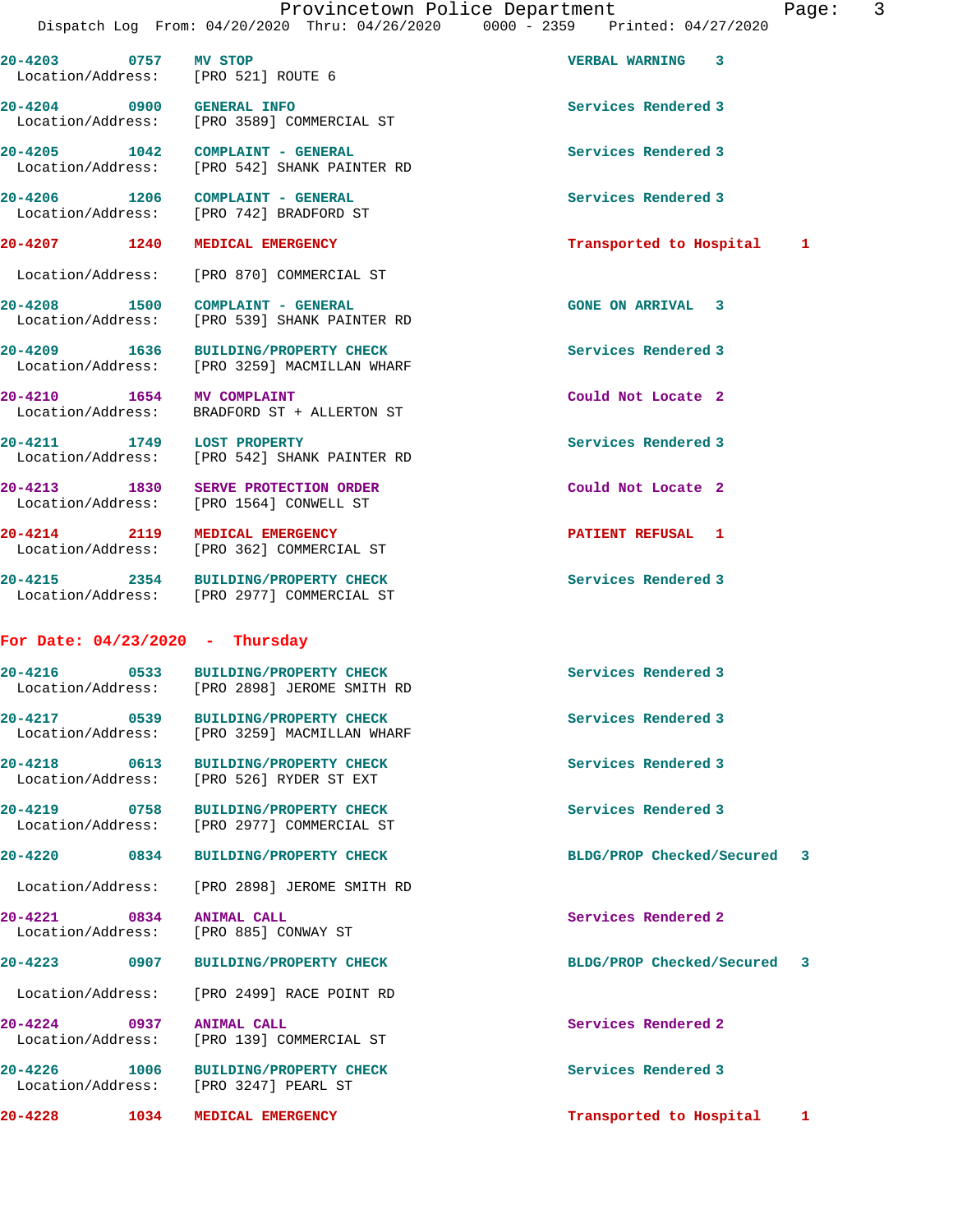**20-4203 0757 MV STOP VERBAL WARNING 3** 

 Location/Address: [PRO 521] ROUTE 6 **20-4204 0900 GENERAL INFO Services Rendered 3**  Location/Address: [PRO 3589] COMMERCIAL ST **20-4205 1042 COMPLAINT - GENERAL Services Rendered 3**  Location/Address: [PRO 542] SHANK PAINTER RD 20-4206 1206 COMPLAINT - GENERAL **1206 COMPLAINT - GENERAL** Services Rendered 3<br>
Location/Address: [PRO 742] BRADFORD ST [PRO 742] BRADFORD ST **20-4207 1240 MEDICAL EMERGENCY Transported to Hospital 1** Location/Address: [PRO 870] COMMERCIAL ST **20-4208 1500 COMPLAINT - GENERAL GONE ON ARRIVAL 3**  Location/Address: [PRO 539] SHANK PAINTER RD **20-4209 1636 BUILDING/PROPERTY CHECK Services Rendered 3**  Location/Address: [PRO 3259] MACMILLAN WHARF **20-4210 1654 MV COMPLAINT Could Not Locate 2**  Location/Address: BRADFORD ST + ALLERTON ST **20-4211 1749 LOST PROPERTY Services Rendered 3**  Location/Address: [PRO 542] SHANK PAINTER RD **20-4213 1830 SERVE PROTECTION ORDER Could Not Locate 2**  Location/Address: [PRO 1564] CONWELL ST **20-4214 2119 MEDICAL EMERGENCY PATIENT REFUSAL 1**  Location/Address: [PRO 362] COMMERCIAL ST **20-4215 2354 BUILDING/PROPERTY CHECK Services Rendered 3**  Location/Address: [PRO 2977] COMMERCIAL ST **For Date: 04/23/2020 - Thursday 20-4216 0533 BUILDING/PROPERTY CHECK Services Rendered 3**  [PRO 2898] JEROME SMITH RD **20-4217 0539 BUILDING/PROPERTY CHECK Services Rendered 3**  Location/Address: [PRO 3259] MACMILLAN WHARF **20-4218 0613 BUILDING/PROPERTY CHECK Services Rendered 3**  Location/Address: [PRO 526] RYDER ST EXT **20-4219 0758 BUILDING/PROPERTY CHECK Services Rendered 3**  Location/Address: [PRO 2977] COMMERCIAL ST **20-4220 0834 BUILDING/PROPERTY CHECK BLDG/PROP Checked/Secured 3** Location/Address: [PRO 2898] JEROME SMITH RD **20-4221 0834 ANIMAL CALL Services Rendered 2**  Location/Address: [PRO 885] CONWAY ST **20-4223 0907 BUILDING/PROPERTY CHECK BLDG/PROP Checked/Secured 3** Location/Address: [PRO 2499] RACE POINT RD **20-4224 0937 ANIMAL CALL Services Rendered 2**  Location/Address: [PRO 139] COMMERCIAL ST

**20-4226 1006 BUILDING/PROPERTY CHECK Services Rendered 3**  Location/Address: [PRO 3247] PEARL ST

**20-4228 1034 MEDICAL EMERGENCY Transported to Hospital 1**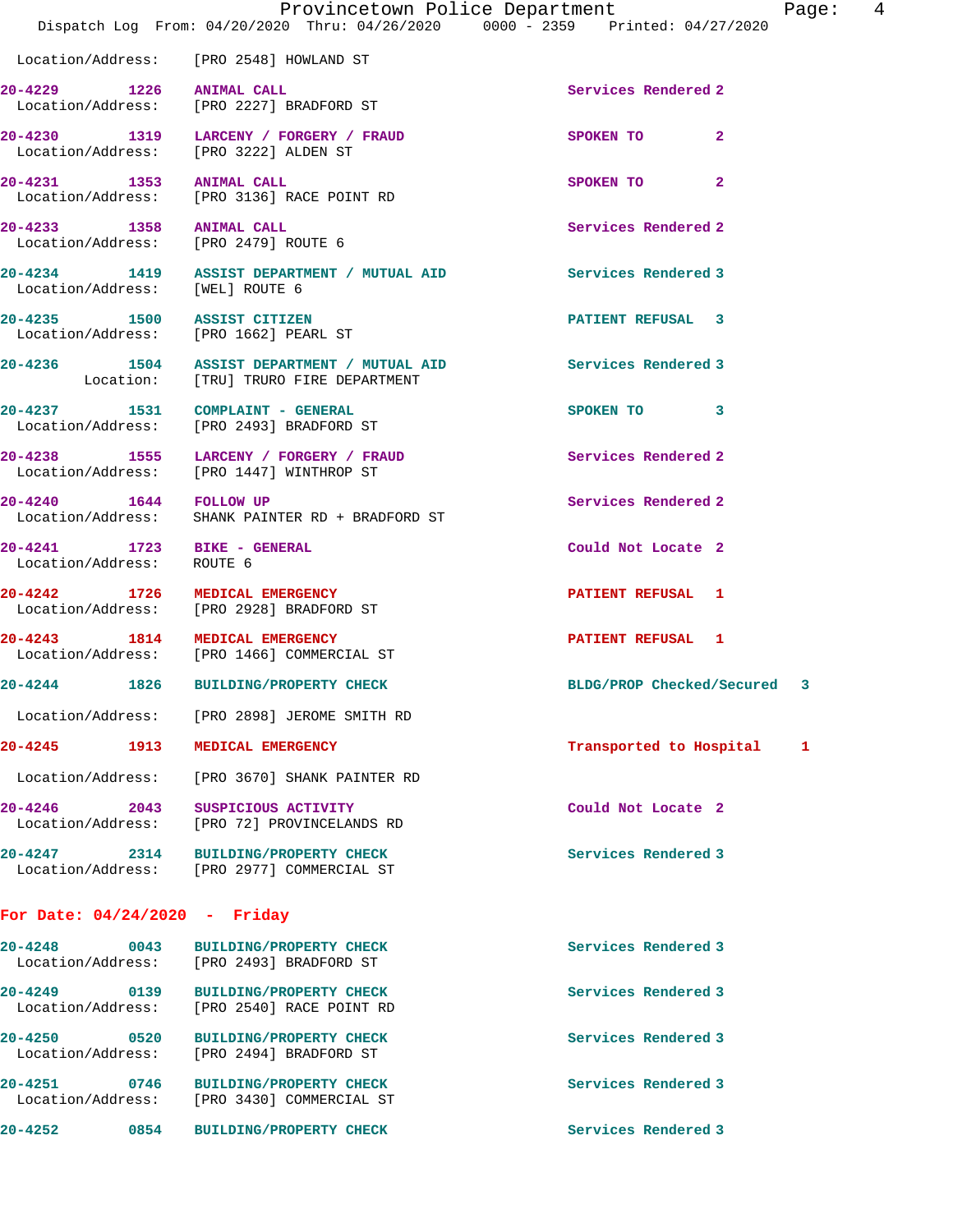|                                                          | Dispatch Log From: 04/20/2020 Thru: 04/26/2020 0000 - 2359 Printed: 04/27/2020       | Provincetown Police Department<br>Page: $4$ |  |
|----------------------------------------------------------|--------------------------------------------------------------------------------------|---------------------------------------------|--|
|                                                          | Location/Address: [PRO 2548] HOWLAND ST                                              |                                             |  |
| 20-4229 1226 ANIMAL CALL                                 | Location/Address: [PRO 2227] BRADFORD ST                                             | Services Rendered 2                         |  |
|                                                          | 20-4230 1319 LARCENY / FORGERY / FRAUD<br>Location/Address: [PRO 3222] ALDEN ST      | SPOKEN TO<br>$\mathbf{2}$                   |  |
| 20-4231 1353 ANIMAL CALL                                 | Location/Address: [PRO 3136] RACE POINT RD                                           | SPOKEN TO 2                                 |  |
|                                                          | 20-4233 1358 ANIMAL CALL<br>Location/Address: [PRO 2479] ROUTE 6                     | Services Rendered 2                         |  |
| Location/Address: [WEL] ROUTE 6                          | 20-4234 1419 ASSIST DEPARTMENT / MUTUAL AID                                          | Services Rendered 3                         |  |
|                                                          | 20-4235 1500 ASSIST CITIZEN<br>Location/Address: [PRO 1662] PEARL ST                 | <b>PATIENT REFUSAL 3</b>                    |  |
|                                                          | 20-4236 1504 ASSIST DEPARTMENT / MUTUAL AID<br>Location: [TRU] TRURO FIRE DEPARTMENT | Services Rendered 3                         |  |
|                                                          | 20-4237 1531 COMPLAINT - GENERAL<br>Location/Address: [PRO 2493] BRADFORD ST         | SPOKEN TO 3                                 |  |
|                                                          | 20-4238 1555 LARCENY / FORGERY / FRAUD<br>Location/Address: [PRO 1447] WINTHROP ST   | Services Rendered 2                         |  |
| 20-4240 1644 FOLLOW UP                                   | Location/Address: SHANK PAINTER RD + BRADFORD ST                                     | Services Rendered 2                         |  |
| 20-4241 1723 BIKE - GENERAL<br>Location/Address: ROUTE 6 |                                                                                      | Could Not Locate 2                          |  |
| 20-4242 1726 MEDICAL EMERGENCY                           | Location/Address: [PRO 2928] BRADFORD ST                                             | <b>PATIENT REFUSAL 1</b>                    |  |
| 20-4243 1814 MEDICAL EMERGENCY                           | Location/Address: [PRO 1466] COMMERCIAL ST                                           | PATIENT REFUSAL 1                           |  |
|                                                          | 20-4244 1826 BUILDING/PROPERTY CHECK                                                 | BLDG/PROP Checked/Secured 3                 |  |
|                                                          | Location/Address: [PRO 2898] JEROME SMITH RD                                         |                                             |  |
| 20-4245 1913 MEDICAL EMERGENCY                           |                                                                                      | Transported to Hospital<br>1                |  |
|                                                          | Location/Address: [PRO 3670] SHANK PAINTER RD                                        |                                             |  |
|                                                          | 20-4246 2043 SUSPICIOUS ACTIVITY<br>Location/Address: [PRO 72] PROVINCELANDS RD      | Could Not Locate 2                          |  |
|                                                          | 20-4247 2314 BUILDING/PROPERTY CHECK<br>Location/Address: [PRO 2977] COMMERCIAL ST   | Services Rendered 3                         |  |
| For Date: $04/24/2020$ - Friday                          |                                                                                      |                                             |  |
|                                                          | 20-4248 0043 BUILDING/PROPERTY CHECK<br>Location/Address: [PRO 2493] BRADFORD ST     | Services Rendered 3                         |  |
|                                                          | 20-4249 0139 BUILDING/PROPERTY CHECK<br>Location/Address: [PRO 2540] RACE POINT RD   | Services Rendered 3                         |  |
|                                                          | 20-4250 0520 BUILDING/PROPERTY CHECK<br>Location/Address: [PRO 2494] BRADFORD ST     | Services Rendered 3                         |  |
|                                                          | 20-4251 0746 BUILDING/PROPERTY CHECK<br>Location/Address: [PRO 3430] COMMERCIAL ST   | Services Rendered 3                         |  |

**20-4252 0854 BUILDING/PROPERTY CHECK Services Rendered 3**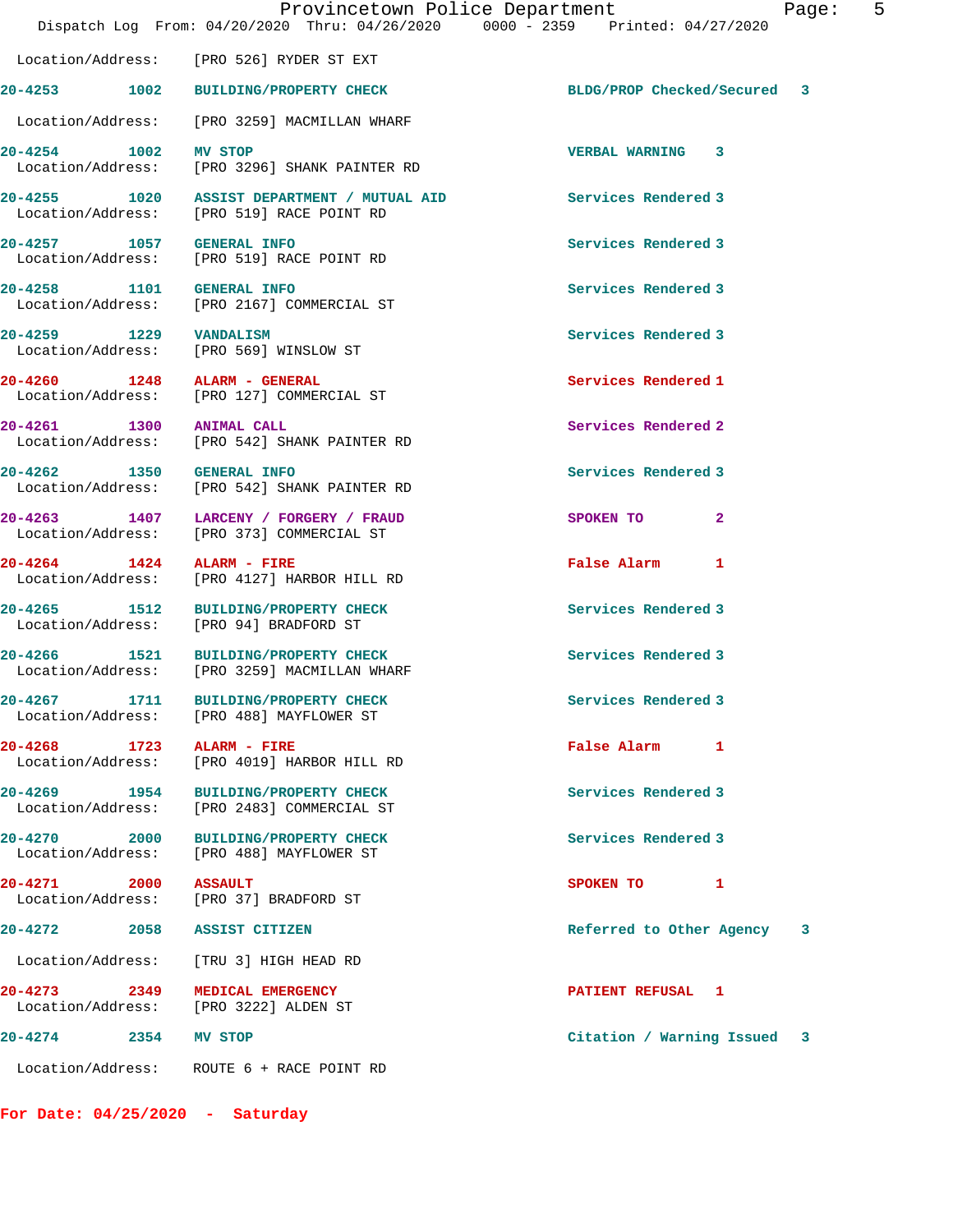|                                | Provincetown Police Department                                                           | Pa<br>Dispatch Log From: 04/20/2020 Thru: 04/26/2020 0000 - 2359 Printed: 04/27/2020 |  |
|--------------------------------|------------------------------------------------------------------------------------------|--------------------------------------------------------------------------------------|--|
|                                | Location/Address: [PRO 526] RYDER ST EXT                                                 |                                                                                      |  |
|                                | 20-4253 1002 BUILDING/PROPERTY CHECK                                                     | BLDG/PROP Checked/Secured 3                                                          |  |
|                                | Location/Address: [PRO 3259] MACMILLAN WHARF                                             |                                                                                      |  |
|                                | 20-4254 1002 MV STOP<br>Location/Address: [PRO 3296] SHANK PAINTER RD                    | <b>VERBAL WARNING 3</b>                                                              |  |
|                                | 20-4255 1020 ASSIST DEPARTMENT / MUTUAL AID<br>Location/Address: [PRO 519] RACE POINT RD | Services Rendered 3                                                                  |  |
| 20-4257 1057 GENERAL INFO      | Location/Address: [PRO 519] RACE POINT RD                                                | Services Rendered 3                                                                  |  |
| 20-4258 1101 GENERAL INFO      | Location/Address: [PRO 2167] COMMERCIAL ST                                               | Services Rendered 3                                                                  |  |
| 20-4259 1229 VANDALISM         | Location/Address: [PRO 569] WINSLOW ST                                                   | Services Rendered 3                                                                  |  |
| 20-4260 1248 ALARM - GENERAL   | Location/Address: [PRO 127] COMMERCIAL ST                                                | Services Rendered 1                                                                  |  |
| 20-4261 1300 ANIMAL CALL       | Location/Address: [PRO 542] SHANK PAINTER RD                                             | Services Rendered 2                                                                  |  |
| 20-4262 1350 GENERAL INFO      | Location/Address: [PRO 542] SHANK PAINTER RD                                             | Services Rendered 3                                                                  |  |
|                                | 20-4263 1407 LARCENY / FORGERY / FRAUD<br>Location/Address: [PRO 373] COMMERCIAL ST      | SPOKEN TO<br>$\mathbf{2}$                                                            |  |
| $20-4264$ 1424 ALARM - FIRE    | Location/Address: [PRO 4127] HARBOR HILL RD                                              | False Alarm 1                                                                        |  |
| 20-4265                        | 20-4265 1512 BUILDING/PROPERTY CHECK<br>Location/Address: [PRO 94] BRADFORD ST           | Services Rendered 3                                                                  |  |
|                                | 20-4266 1521 BUILDING/PROPERTY CHECK<br>Location/Address: [PRO 3259] MACMILLAN WHARF     | Services Rendered 3                                                                  |  |
|                                | 20-4267 1711 BUILDING/PROPERTY CHECK<br>Location/Address: [PRO 488] MAYFLOWER ST         | Services Rendered 3                                                                  |  |
| 20-4268 1723 ALARM - FIRE      | Location/Address: [PRO 4019] HARBOR HILL RD                                              | <b>False Alarm</b><br>1                                                              |  |
|                                | 20-4269 1954 BUILDING/PROPERTY CHECK<br>Location/Address: [PRO 2483] COMMERCIAL ST       | Services Rendered 3                                                                  |  |
|                                | 20-4270 2000 BUILDING/PROPERTY CHECK<br>Location/Address: [PRO 488] MAYFLOWER ST         | Services Rendered 3                                                                  |  |
| 2000 ASSAULT<br>20-4271        | Location/Address: [PRO 37] BRADFORD ST                                                   | SPOKEN TO 1                                                                          |  |
| 20-4272 2058 ASSIST CITIZEN    |                                                                                          | Referred to Other Agency 3                                                           |  |
|                                | Location/Address: [TRU 3] HIGH HEAD RD                                                   |                                                                                      |  |
| 20-4273 2349 MEDICAL EMERGENCY | Location/Address: [PRO 3222] ALDEN ST                                                    | PATIENT REFUSAL 1                                                                    |  |
| 20-4274<br>2354                | MV STOP                                                                                  | Citation / Warning Issued 3                                                          |  |
|                                |                                                                                          |                                                                                      |  |

Location/Address: ROUTE 6 + RACE POINT RD

**For Date: 04/25/2020 - Saturday**

Page: 5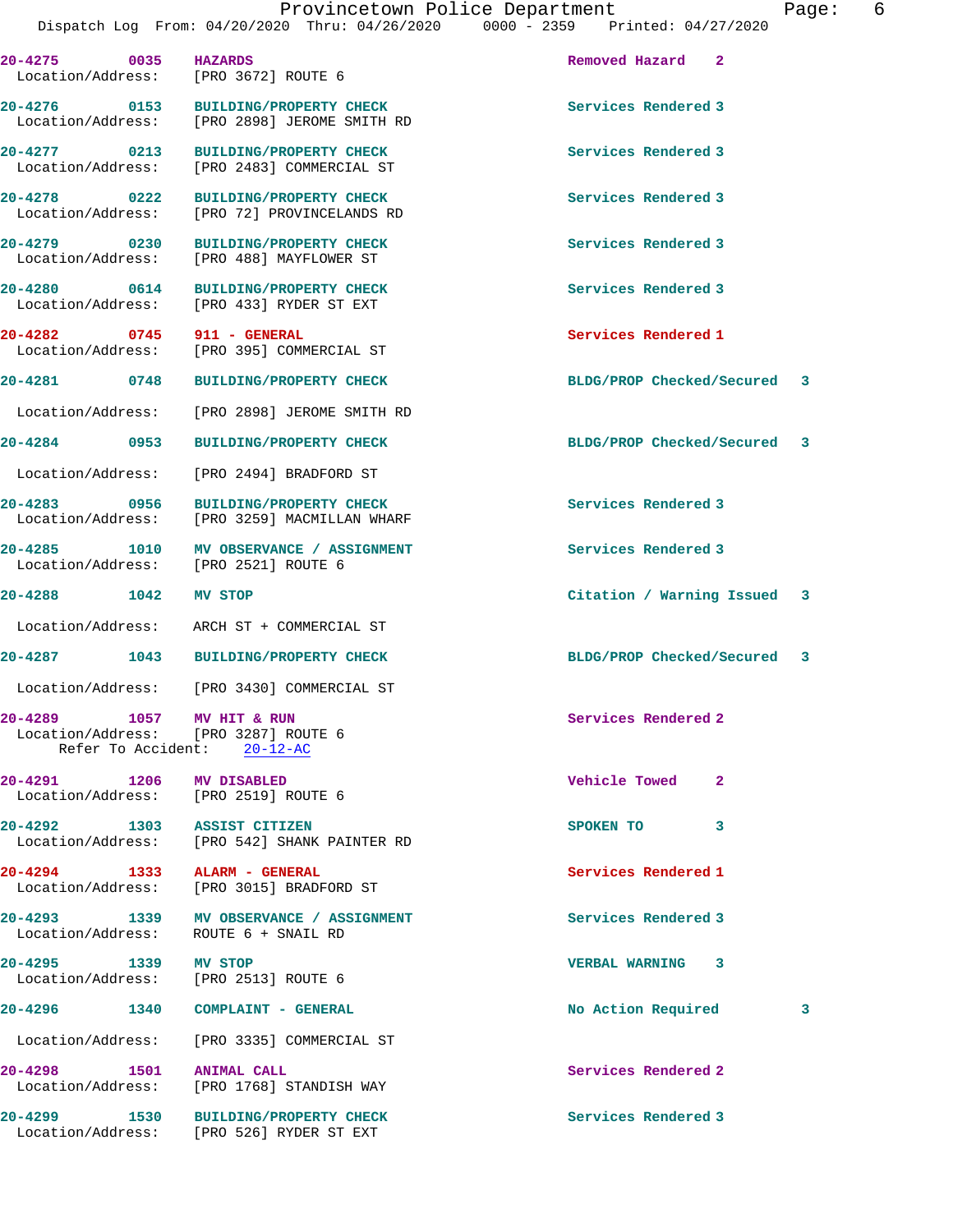Dispatch Log From: 04/20/2020 Thru: 04/26/2020 0000 - 2359 Printed: 04/27/2020 **20-4275 0035 HAZARDS Removed Hazard 2**  Location/Address: [PRO 3672] ROUTE 6 **20-4276 0153 BUILDING/PROPERTY CHECK Services Rendered 3**  Location/Address: [PRO 2898] JEROME SMITH RD **20-4277 0213 BUILDING/PROPERTY CHECK Services Rendered 3**  Location/Address: [PRO 2483] COMMERCIAL ST **20-4278 0222 BUILDING/PROPERTY CHECK Services Rendered 3**  [PRO 72] PROVINCELANDS RD **20-4279 0230 BUILDING/PROPERTY CHECK Services Rendered 3**  Location/Address: [PRO 488] MAYFLOWER ST **20-4280 0614 BUILDING/PROPERTY CHECK Services Rendered 3**  Location/Address: [PRO 433] RYDER ST EXT **20-4282 0745 911 - GENERAL Services Rendered 1**  [PRO 395] COMMERCIAL ST **20-4281 0748 BUILDING/PROPERTY CHECK BLDG/PROP Checked/Secured 3** Location/Address: [PRO 2898] JEROME SMITH RD **20-4284 0953 BUILDING/PROPERTY CHECK BLDG/PROP Checked/Secured 3** Location/Address: [PRO 2494] BRADFORD ST **20-4283 0956 BUILDING/PROPERTY CHECK Services Rendered 3**  Location/Address: [PRO 3259] MACMILLAN WHARF 20-4285 1010 MV OBSERVANCE / ASSIGNMENT **100 Services Rendered 3** and the services Rendered 3 and the services Rendered 3 Location/Address: **20-4288 1042 MV STOP Citation / Warning Issued 3** Location/Address: ARCH ST + COMMERCIAL ST **20-4287 1043 BUILDING/PROPERTY CHECK BLDG/PROP Checked/Secured 3** Location/Address: [PRO 3430] COMMERCIAL ST **20-4289 1057 MV HIT & RUN Services Rendered 2**  Location/Address: [PRO 3287] ROUTE 6 Refer To Accident: 20-12-AC **20-4291 1206 MV DISABLED Vehicle Towed 2**  Location/Address: [PRO 2519] ROUTE 6 **20-4292 1303 ASSIST CITIZEN SPOKEN TO 3**  Location/Address: [PRO 542] SHANK PAINTER RD **20-4294 1333 ALARM - GENERAL Services Rendered 1**  Location/Address: [PRO 3015] BRADFORD ST **20-4293 1339 MV OBSERVANCE / ASSIGNMENT Services Rendered 3**  Location/Address: ROUTE 6 + SNAIL RD **20-4295 1339 MV STOP VERBAL WARNING 3**  Location/Address: [PRO 2513] ROUTE 6 **20-4296 1340 COMPLAINT - GENERAL No Action Required 3** Location/Address: [PRO 3335] COMMERCIAL ST **20-4298 1501 ANIMAL CALL Services Rendered 2**  Location/Address: [PRO 1768] STANDISH WAY **20-4299 1530 BUILDING/PROPERTY CHECK Services Rendered 3**  Location/Address: [PRO 526] RYDER ST EXT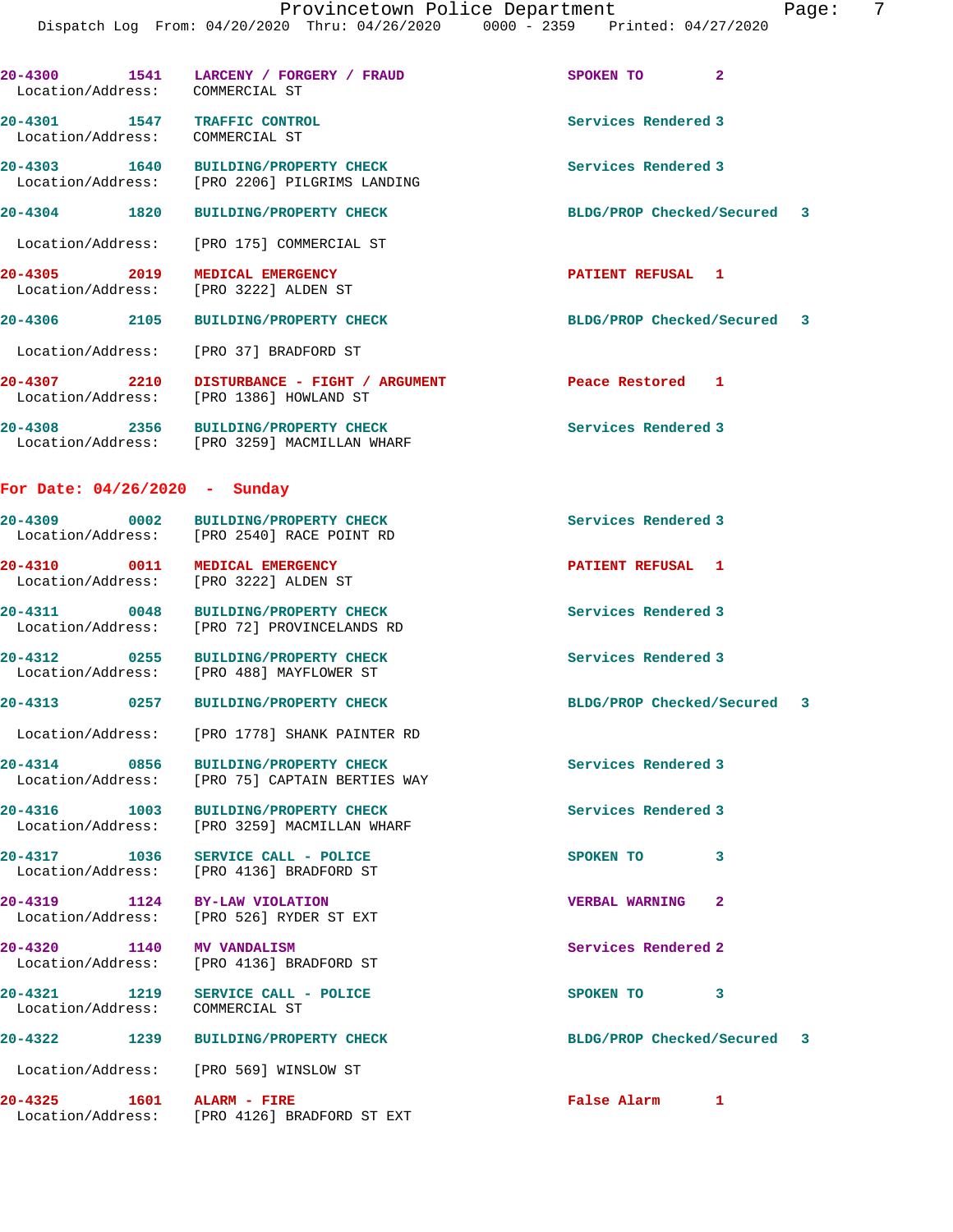| aae: |  |
|------|--|
|      |  |

| Location/Address:                        | 20-4300 1541 LARCENY / FORGERY / FRAUD<br>COMMERCIAL ST                                | $\overline{2}$<br>SPOKEN TO |  |
|------------------------------------------|----------------------------------------------------------------------------------------|-----------------------------|--|
| 20-4301 1547<br>Location/Address:        | TRAFFIC CONTROL<br>COMMERCIAL ST                                                       | Services Rendered 3         |  |
| 20-4303 1640<br>Location/Address:        | BUILDING/PROPERTY CHECK<br>[PRO 2206] PILGRIMS LANDING                                 | Services Rendered 3         |  |
| 20-4304 1820                             | <b>BUILDING/PROPERTY CHECK</b>                                                         | BLDG/PROP Checked/Secured 3 |  |
| Location/Address:                        | [PRO 175] COMMERCIAL ST                                                                |                             |  |
| 20-4305 2019<br>Location/Address:        | MEDICAL EMERGENCY<br>[PRO 3222] ALDEN ST                                               | PATIENT REFUSAL 1           |  |
| 20-4306 2105                             | <b>BUILDING/PROPERTY CHECK</b>                                                         | BLDG/PROP Checked/Secured 3 |  |
| Location/Address:                        | [PRO 37] BRADFORD ST                                                                   |                             |  |
| 20-4307 2210<br>Location/Address:        | DISTURBANCE - FIGHT / ARGUMENT<br>[PRO 1386] HOWLAND ST                                | Peace Restored 1            |  |
|                                          | 20-4308 2356 BUILDING/PROPERTY CHECK<br>Location/Address: [PRO 3259] MACMILLAN WHARF   | Services Rendered 3         |  |
| For Date: $04/26/2020$ - Sunday          |                                                                                        |                             |  |
|                                          | 20-4309 0002 BUILDING/PROPERTY CHECK<br>Location/Address: [PRO 2540] RACE POINT RD     | Services Rendered 3         |  |
| 20-4310 0011<br>Location/Address:        | <b>MEDICAL EMERGENCY</b><br>[PRO 3222] ALDEN ST                                        | PATIENT REFUSAL 1           |  |
| 20-4311 0048                             | <b>BUILDING/PROPERTY CHECK</b><br>Location/Address: [PRO 72] PROVINCELANDS RD          | Services Rendered 3         |  |
| $20 - 4312$<br>0255<br>Location/Address: | <b>BUILDING/PROPERTY CHECK</b><br>[PRO 488] MAYFLOWER ST                               | Services Rendered 3         |  |
|                                          | 20-4313 0257 BUILDING/PROPERTY CHECK                                                   | BLDG/PROP Checked/Secured 3 |  |
|                                          | Location/Address: [PRO 1778] SHANK PAINTER RD                                          |                             |  |
|                                          | 20-4314 0856 BUILDING/PROPERTY CHECK<br>Location/Address: [PRO 75] CAPTAIN BERTIES WAY | Services Rendered 3         |  |
|                                          | 20-4316 1003 BUILDING/PROPERTY CHECK<br>Location/Address: [PRO 3259] MACMILLAN WHARF   | Services Rendered 3         |  |
|                                          | 20-4317 1036 SERVICE CALL - POLICE<br>Location/Address: [PRO 4136] BRADFORD ST         | SPOKEN TO<br>3              |  |
|                                          | 20-4319 1124 BY-LAW VIOLATION<br>Location/Address: [PRO 526] RYDER ST EXT              | <b>VERBAL WARNING 2</b>     |  |
| 20-4320 1140 MV VANDALISM                | Location/Address: [PRO 4136] BRADFORD ST                                               | Services Rendered 2         |  |
| Location/Address: COMMERCIAL ST          | 20-4321 1219 SERVICE CALL - POLICE                                                     | SPOKEN TO 3                 |  |
|                                          | 20-4322 1239 BUILDING/PROPERTY CHECK                                                   | BLDG/PROP Checked/Secured 3 |  |
|                                          | Location/Address: [PRO 569] WINSLOW ST                                                 |                             |  |
| 20-4325 1601 ALARM - FIRE                | Location/Address: [PRO 4126] BRADFORD ST EXT                                           | False Alarm 1               |  |